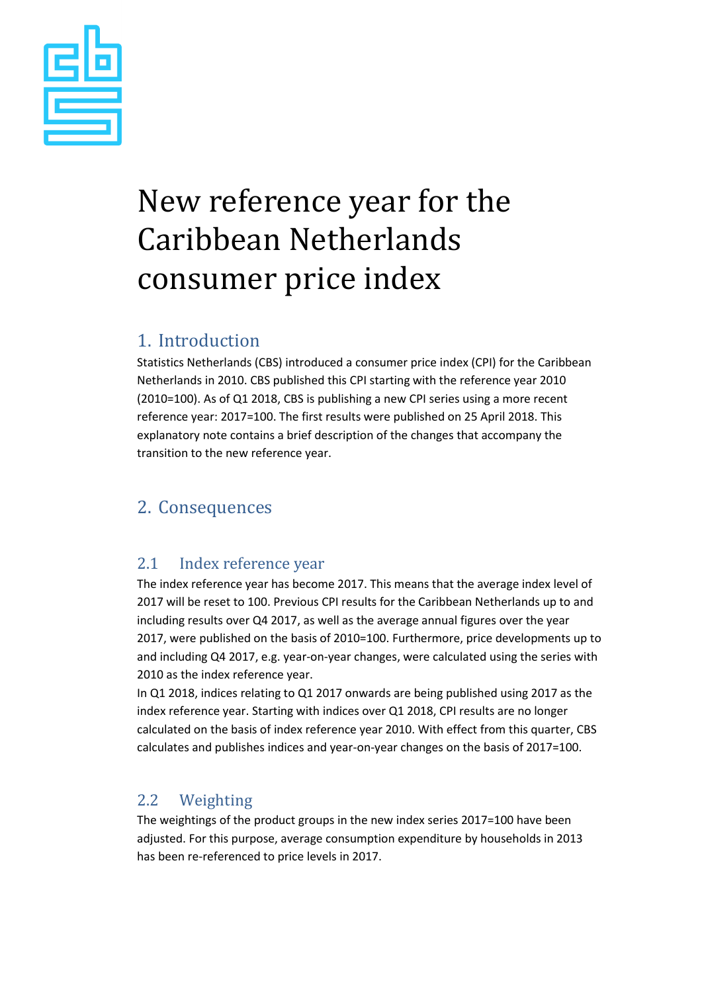

# New reference year for the Caribbean Netherlands consumer price index

### 1. Introduction

Statistics Netherlands (CBS) introduced a consumer price index (CPI) for the Caribbean Netherlands in 2010. CBS published this CPI starting with the reference year 2010 (2010=100). As of Q1 2018, CBS is publishing a new CPI series using a more recent reference year: 2017=100. The first results were published on 25 April 2018. This explanatory note contains a brief description of the changes that accompany the transition to the new reference year.

## 2. Consequences

#### 2.1 Index reference year

The index reference year has become 2017. This means that the average index level of 2017 will be reset to 100. Previous CPI results for the Caribbean Netherlands up to and including results over Q4 2017, as well as the average annual figures over the year 2017, were published on the basis of 2010=100. Furthermore, price developments up to and including Q4 2017, e.g. year-on-year changes, were calculated using the series with 2010 as the index reference year.

In Q1 2018, indices relating to Q1 2017 onwards are being published using 2017 as the index reference year. Starting with indices over Q1 2018, CPI results are no longer calculated on the basis of index reference year 2010. With effect from this quarter, CBS calculates and publishes indices and year-on-year changes on the basis of 2017=100.

#### 2.2 Weighting

The weightings of the product groups in the new index series 2017=100 have been adjusted. For this purpose, average consumption expenditure by households in 2013 has been re-referenced to price levels in 2017.